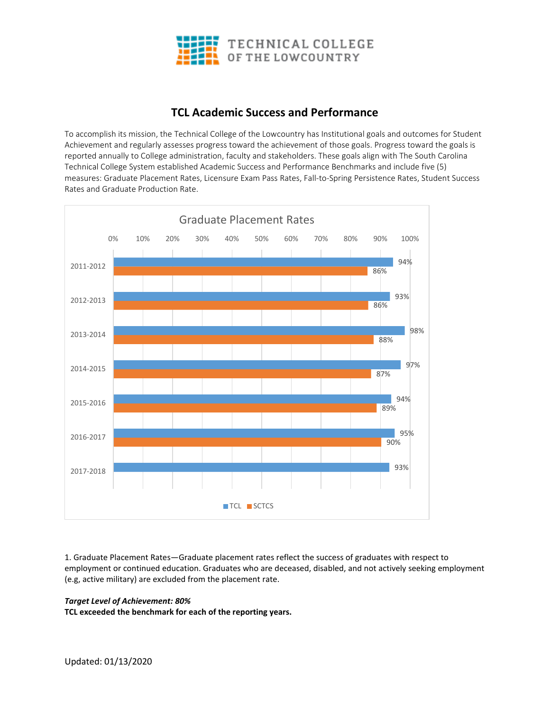

## **TCL Academic Success and Performance**

To accomplish its mission, the Technical College of the Lowcountry has Institutional goals and outcomes for Student Achievement and regularly assesses progress toward the achievement of those goals. Progress toward the goals is reported annually to College administration, faculty and stakeholders. These goals align with The South Carolina Technical College System established Academic Success and Performance Benchmarks and include five (5) measures: Graduate Placement Rates, Licensure Exam Pass Rates, Fall-to-Spring Persistence Rates, Student Success Rates and Graduate Production Rate.



1. Graduate Placement Rates—Graduate placement rates reflect the success of graduates with respect to employment or continued education. Graduates who are deceased, disabled, and not actively seeking employment (e.g, active military) are excluded from the placement rate.

## *Target Level of Achievement: 80%*

**TCL exceeded the benchmark for each of the reporting years.**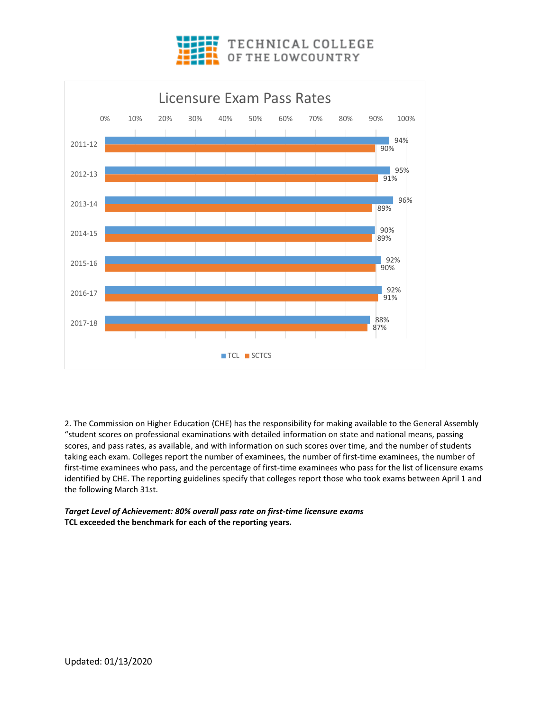



2. The Commission on Higher Education (CHE) has the responsibility for making available to the General Assembly "student scores on professional examinations with detailed information on state and national means, passing scores, and pass rates, as available, and with information on such scores over time, and the number of students taking each exam. Colleges report the number of examinees, the number of first-time examinees, the number of first-time examinees who pass, and the percentage of first-time examinees who pass for the list of licensure exams identified by CHE. The reporting guidelines specify that colleges report those who took exams between April 1 and the following March 31st.

*Target Level of Achievement: 80% overall pass rate on first-time licensure exams*  **TCL exceeded the benchmark for each of the reporting years.**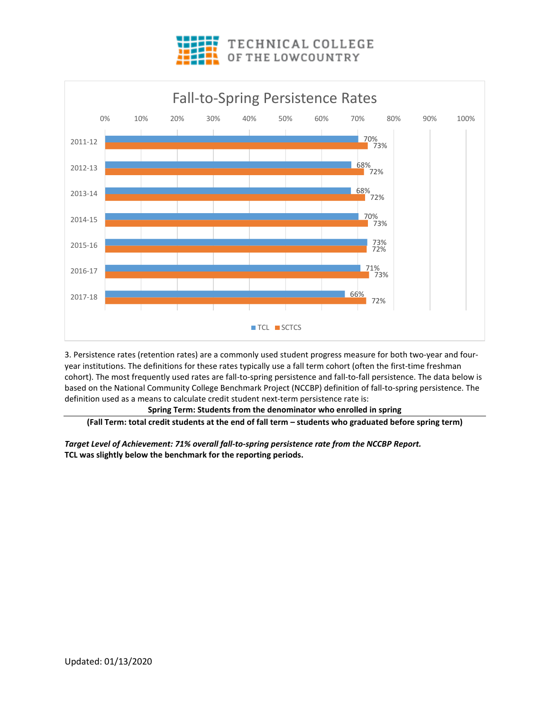



3. Persistence rates (retention rates) are a commonly used student progress measure for both two-year and fouryear institutions. The definitions for these rates typically use a fall term cohort (often the first-time freshman cohort). The most frequently used rates are fall-to-spring persistence and fall-to-fall persistence. The data below is based on the National Community College Benchmark Project (NCCBP) definition of fall-to-spring persistence. The definition used as a means to calculate credit student next-term persistence rate is:

## **Spring Term: Students from the denominator who enrolled in spring**

**(Fall Term: total credit students at the end of fall term – students who graduated before spring term)**

*Target Level of Achievement: 71% overall fall-to-spring persistence rate from the NCCBP Report.*  **TCL was slightly below the benchmark for the reporting periods.**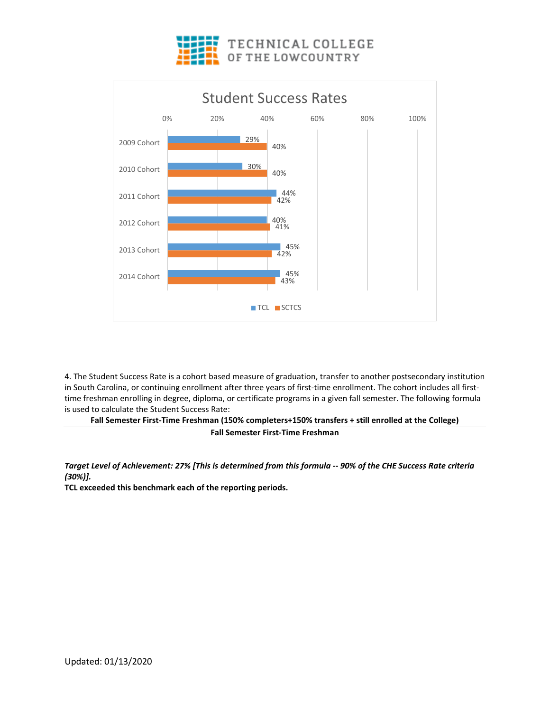



4. The Student Success Rate is a cohort based measure of graduation, transfer to another postsecondary institution in South Carolina, or continuing enrollment after three years of first-time enrollment. The cohort includes all firsttime freshman enrolling in degree, diploma, or certificate programs in a given fall semester. The following formula is used to calculate the Student Success Rate:

**Fall Semester First-Time Freshman (150% completers+150% transfers + still enrolled at the College) Fall Semester First-Time Freshman**

*Target Level of Achievement: 27% [This is determined from this formula -- 90% of the CHE Success Rate criteria (30%)].* 

**TCL exceeded this benchmark each of the reporting periods.**